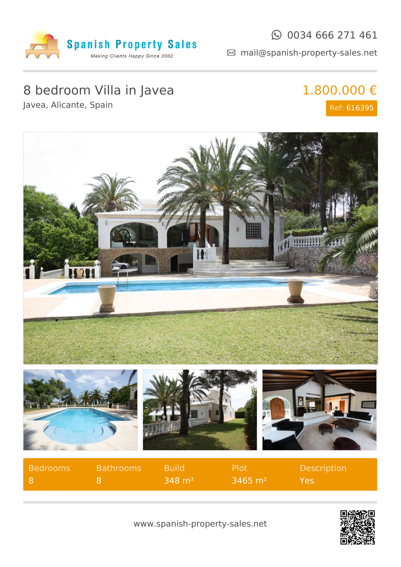

### $\odot$  0034 666 271 461

mail@spanish-property-sales.net

# 8 bedroom Villa in Javea

1.800.000 €

Javea, Alicante, Spain

# Ref: 616395



| Bedrooms | <b>Bathrooms</b> | - Build                   | - Plot             | <b>Description</b> |
|----------|------------------|---------------------------|--------------------|--------------------|
|          |                  | $1.348$ m <sup>2</sup> is | $\sqrt{3465}$ m² l | Yes                |

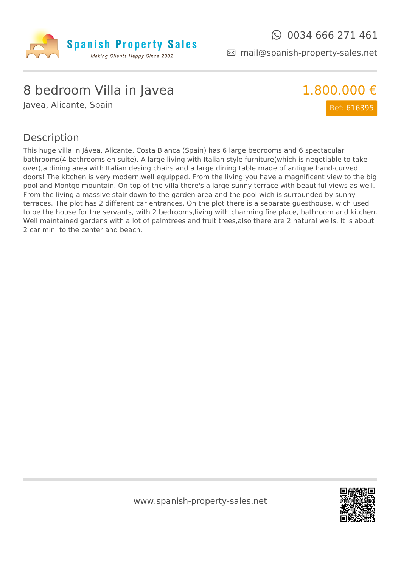

mail@spanish-property-sales.net

## 8 bedroom Villa in Javea

Javea, Alicante, Spain



#### Description

This huge villa in Jávea, Alicante, Costa Blanca (Spain) has 6 large bedrooms and 6 spectacular bathrooms(4 bathrooms en suite). A large living with Italian style furniture(which is negotiable to take over),a dining area with Italian desing chairs and a large dining table made of antique hand-curved doors! The kitchen is very modern,well equipped. From the living you have a magnificent view to the big pool and Montgo mountain. On top of the villa there's a large sunny terrace with beautiful views as well. From the living a massive stair down to the garden area and the pool wich is surrounded by sunny terraces. The plot has 2 different car entrances. On the plot there is a separate guesthouse, wich used to be the house for the servants, with 2 bedrooms,living with charming fire place, bathroom and kitchen. Well maintained gardens with a lot of palmtrees and fruit trees, also there are 2 natural wells. It is about 2 car min. to the center and beach.